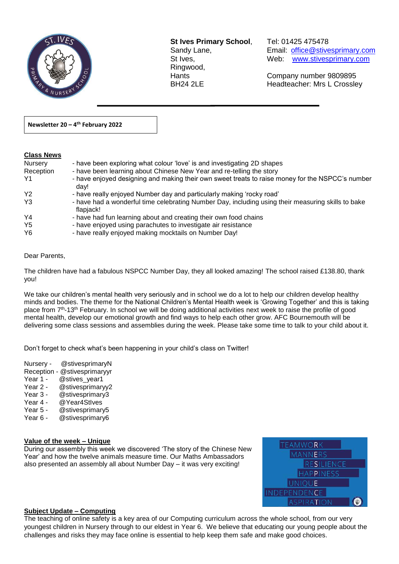

**St Ives Primary School**, Tel: 01425 475478 Ringwood,

 $\overline{a}$ 

Sandy Lane, Email: office@stivesprimary.com St Ives, [www.stivesprimary.com](http://www.stives.dorset.sch.uk/)

Hants Company number 9809895 BH24 2LE Headteacher: Mrs L Crossley

**Newsletter 20 – 4 th February 2022** 

### **Class News**

| Nursery<br>Reception | - have been exploring what colour 'love' is and investigating 2D shapes<br>- have been learning about Chinese New Year and re-telling the story |
|----------------------|-------------------------------------------------------------------------------------------------------------------------------------------------|
| Y1                   | - have enjoyed designing and making their own sweet treats to raise money for the NSPCC's number                                                |
|                      | dav!                                                                                                                                            |
| Y <sub>2</sub>       | - have really enjoyed Number day and particularly making 'rocky road'                                                                           |
| Y <sub>3</sub>       | - have had a wonderful time celebrating Number Day, including using their measuring skills to bake<br>flapjack!                                 |
| Y4                   | - have had fun learning about and creating their own food chains                                                                                |
| Y <sub>5</sub>       | - have enjoyed using parachutes to investigate air resistance                                                                                   |
| Y <sub>6</sub>       | - have really enjoyed making mocktails on Number Day!                                                                                           |

#### Dear Parents,

The children have had a fabulous NSPCC Number Day, they all looked amazing! The school raised £138.80, thank you!

We take our children's mental health very seriously and in school we do a lot to help our children develop healthy minds and bodies. The theme for the National Children's Mental Health week is 'Growing Together' and this is taking place from 7<sup>th</sup>-13<sup>th</sup> February. In school we will be doing additional activities next week to raise the profile of good mental health, develop our emotional growth and find ways to help each other grow. AFC Bournemouth will be delivering some class sessions and assemblies during the week. Please take some time to talk to your child about it.

Don't forget to check what's been happening in your child's class on Twitter!

- Nursery @stivesprimaryN
- Reception @stivesprimaryyr
- Year 1 @stives\_year1
- Year 2 @stivesprimaryy2
- Year 3 @stivesprimary3
- Year 4 @ Year4Stives
- Year 5 @stivesprimary5
- Year 6 @stivesprimary6

### **Value of the week – Unique**

During our assembly this week we discovered 'The story of the Chinese New Year' and how the twelve animals measure time. Our Maths Ambassadors also presented an assembly all about Number Day – it was very exciting!

| <b>TEAMWORK</b>     |  |
|---------------------|--|
| <b>MANNERS</b>      |  |
| <b>RESILIENCE</b>   |  |
| <b>HAPPINESS</b>    |  |
| <b>UNIQUE</b>       |  |
| <b>INDEPENDENCE</b> |  |
| <b>ASPIRATION</b>   |  |

### **Subject Update – Computing**

The teaching of online safety is a key area of our Computing curriculum across the whole school, from our very youngest children in Nursery through to our eldest in Year 6. We believe that educating our young people about the challenges and risks they may face online is essential to help keep them safe and make good choices.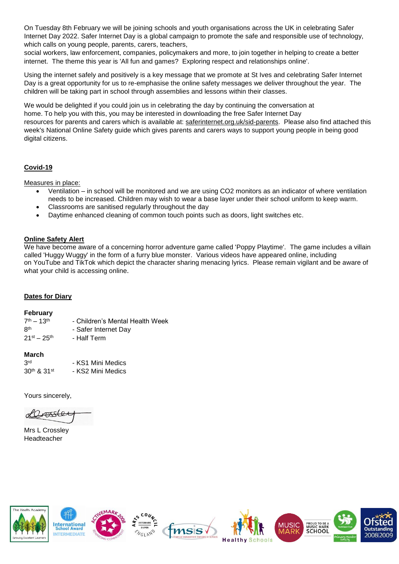On Tuesday 8th February we will be joining schools and youth organisations across the UK in celebrating Safer Internet Day 2022. Safer Internet Day is a global campaign to promote the safe and responsible use of technology, which calls on young people, parents, carers, teachers,

social workers, law enforcement, companies, policymakers and more, to join together in helping to create a better internet. The theme this year is 'All fun and games? Exploring respect and relationships online'.

Using the internet safely and positively is a key message that we promote at St Ives and celebrating Safer Internet Day is a great opportunity for us to re-emphasise the online safety messages we deliver throughout the year. The children will be taking part in school through assemblies and lessons within their classes.

We would be delighted if you could join us in celebrating the day by continuing the conversation at home. To help you with this, you may be interested in downloading the free Safer Internet Day resources for parents and carers which is available at: [saferinternet.org.uk/sid-parents.](https://www.saferinternet.org.uk/safer-internet-day/safer-internet-day-2020/i-am-parent-or-carer) Please also find attached this week's National Online Safety guide which gives parents and carers ways to support young people in being good digital citizens.

## **Covid-19**

Measures in place:

- Ventilation in school will be monitored and we are using CO2 monitors as an indicator of where ventilation needs to be increased. Children may wish to wear a base layer under their school uniform to keep warm.
- Classrooms are sanitised regularly throughout the day
- Daytime enhanced cleaning of common touch points such as doors, light switches etc.

#### **Online Safety Alert**

We have become aware of a concerning horror adventure game called 'Poppy Playtime'. The game includes a villain called 'Huggy Wuggy' in the form of a furry blue monster. Various videos have appeared online, including on YouTube and TikTok which depict the character sharing menacing lyrics. Please remain vigilant and be aware of what your child is accessing online.

### **Dates for Diary**

#### **February**

| $7th - 13th$                | - Children's Mental Health Week |
|-----------------------------|---------------------------------|
| Rth                         | - Safer Internet Dav            |
| $21^{\rm st} - 25^{\rm th}$ | - Half Term                     |

#### **March**

| 3 <sup>rd</sup> | - KS1 Mini Medics |
|-----------------|-------------------|
| 30th & 31st     | - KS2 Mini Medics |

Yours sincerely,

Orossle

Mrs L Crossley Headteacher